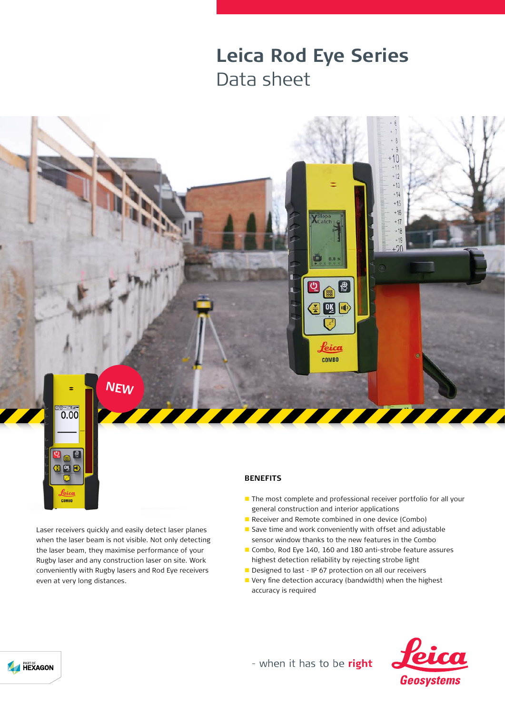## **Leica Rod Eye Series** Data sheet



Laser receivers quickly and easily detect laser planes when the laser beam is not visible. Not only detecting the laser beam, they maximise performance of your Rugby laser and any construction laser on site. Work conveniently with Rugby lasers and Rod Eye receivers even at very long distances.

<sup>8</sup>  $\blacksquare$ 日鸣日

COMBO

## **BENEFITS**

- The most complete and professional receiver portfolio for all your general construction and interior applications
- Receiver and Remote combined in one device (Combo)
- Save time and work conveniently with offset and adjustable sensor window thanks to the new features in the Combo
- Combo, Rod Eye 140, 160 and 180 anti-strobe feature assures highest detection reliability by rejecting strobe light
- Designed to last IP 67 protection on all our receivers
- Very fine detection accuracy (bandwidth) when the highest accuracy is required



- when it has to be right